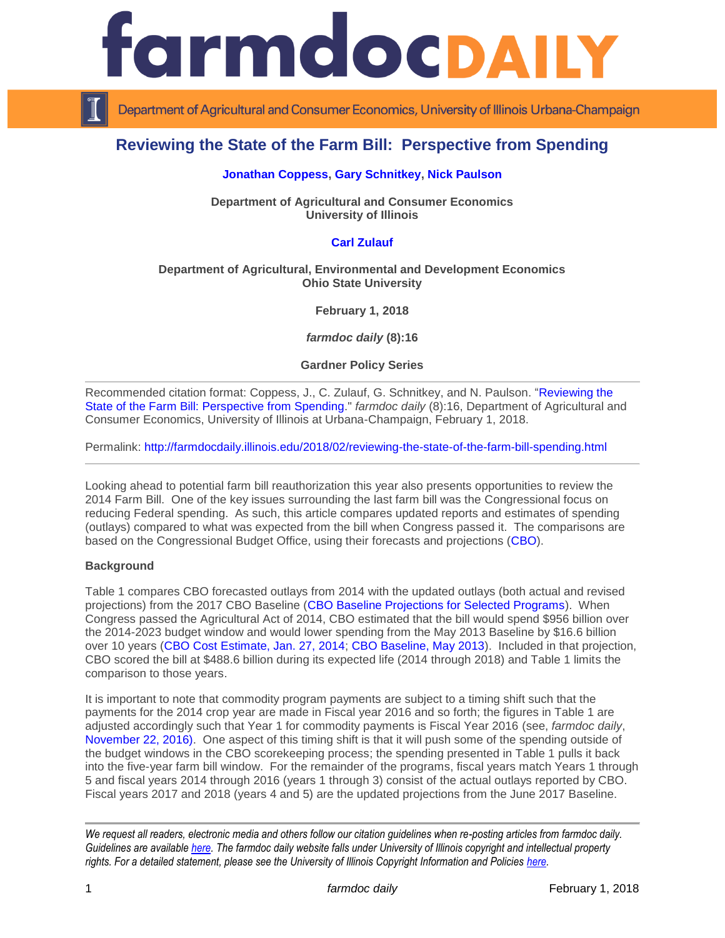



Department of Agricultural and Consumer Economics, University of Illinois Urbana-Champaign

# **Reviewing the State of the Farm Bill: Perspective from Spending**

#### **[Jonathan Coppess,](http://farmdoc.illinois.edu/coppess) [Gary Schnitkey,](http://farmdoc.illinois.edu/schnitkey) [Nick Paulson](http://farmdoc.illinois.edu/paulson)**

**Department of Agricultural and Consumer Economics University of Illinois**

# **[Carl Zulauf](http://aede.osu.edu/our-people/carl-zulauf)**

#### **Department of Agricultural, Environmental and Development Economics Ohio State University**

**February 1, 2018**

*farmdoc daily* **(8):16**

**Gardner Policy Series**

Recommended citation format: Coppess, J., C. Zulauf, G. Schnitkey, and N. Paulson. ["Reviewing the](http://farmdocdaily.illinois.edu/2018/02/reviewing-the-state-of-the-farm-bill-spending.html)  [State of the Farm Bill: Perspective from Spending.](http://farmdocdaily.illinois.edu/2018/02/reviewing-the-state-of-the-farm-bill-spending.html)" *farmdoc daily* (8):16, Department of Agricultural and Consumer Economics, University of Illinois at Urbana-Champaign, February 1, 2018.

Permalink: <http://farmdocdaily.illinois.edu/2018/02/reviewing-the-state-of-the-farm-bill-spending.html>

Looking ahead to potential farm bill reauthorization this year also presents opportunities to review the 2014 Farm Bill. One of the key issues surrounding the last farm bill was the Congressional focus on reducing Federal spending. As such, this article compares updated reports and estimates of spending (outlays) compared to what was expected from the bill when Congress passed it. The comparisons are based on the Congressional Budget Office, using their forecasts and projections [\(CBO\)](https://www.cbo.gov/).

#### **Background**

Table 1 compares CBO forecasted outlays from 2014 with the updated outlays (both actual and revised projections) from the 2017 CBO Baseline [\(CBO Baseline Projections for Selected Programs\)](https://www.cbo.gov/about/products/baseline-projections-selected-programs#1). When Congress passed the Agricultural Act of 2014, CBO estimated that the bill would spend \$956 billion over the 2014-2023 budget window and would lower spending from the May 2013 Baseline by \$16.6 billion over 10 years [\(CBO Cost Estimate, Jan. 27, 2014;](https://www.cbo.gov/publication/45049) [CBO Baseline, May 2013\)](https://www.cbo.gov/sites/default/files/recurringdata/51317-2013-05-usda.pdf). Included in that projection, CBO scored the bill at \$488.6 billion during its expected life (2014 through 2018) and Table 1 limits the comparison to those years.

It is important to note that commodity program payments are subject to a timing shift such that the payments for the 2014 crop year are made in Fiscal year 2016 and so forth; the figures in Table 1 are adjusted accordingly such that Year 1 for commodity payments is Fiscal Year 2016 (see, *farmdoc daily*, [November 22, 2016\).](http://farmdocdaily.illinois.edu/2016/11/arc-co-payment-timing-and-cash-rent-bidding.html) One aspect of this timing shift is that it will push some of the spending outside of the budget windows in the CBO scorekeeping process; the spending presented in Table 1 pulls it back into the five-year farm bill window. For the remainder of the programs, fiscal years match Years 1 through 5 and fiscal years 2014 through 2016 (years 1 through 3) consist of the actual outlays reported by CBO. Fiscal years 2017 and 2018 (years 4 and 5) are the updated projections from the June 2017 Baseline.

*We request all readers, electronic media and others follow our citation guidelines when re-posting articles from farmdoc daily. Guidelines are available [here.](http://farmdocdaily.illinois.edu/citationguide.html) The farmdoc daily website falls under University of Illinois copyright and intellectual property rights. For a detailed statement, please see the University of Illinois Copyright Information and Policies [here.](http://www.cio.illinois.edu/policies/copyright/)*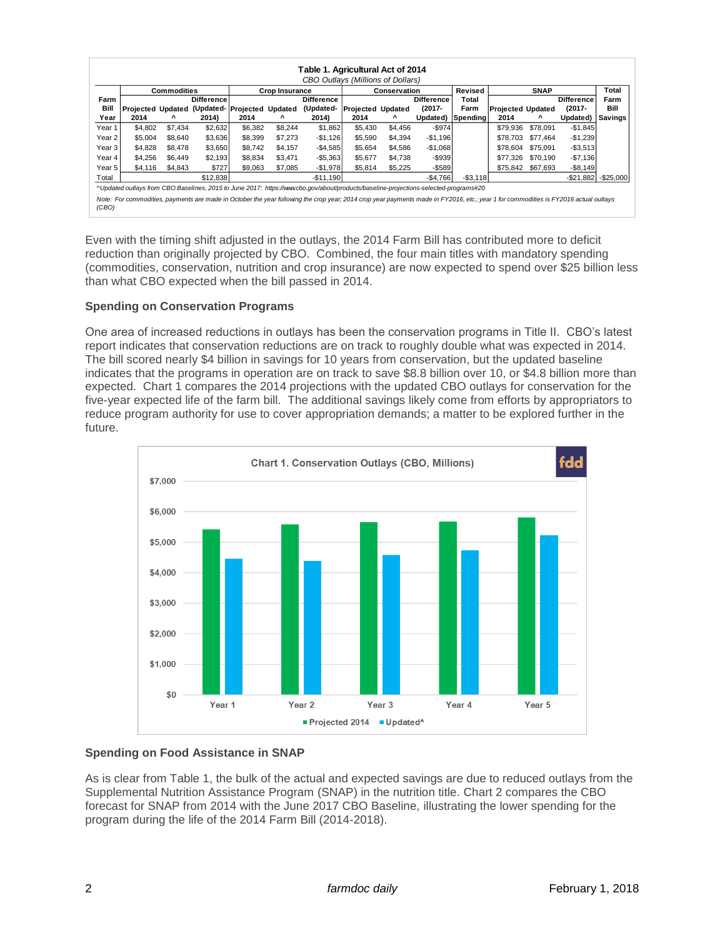|        | Table 1. Agricultural Act of 2014                                                                                                    |         |                                       |                       |         |                                                                                                                                                                                     |                          |         |                   |             |                          |             |                   |              |  |
|--------|--------------------------------------------------------------------------------------------------------------------------------------|---------|---------------------------------------|-----------------------|---------|-------------------------------------------------------------------------------------------------------------------------------------------------------------------------------------|--------------------------|---------|-------------------|-------------|--------------------------|-------------|-------------------|--------------|--|
|        | CBO Outlays (Millions of Dollars)                                                                                                    |         |                                       |                       |         |                                                                                                                                                                                     |                          |         |                   |             |                          |             |                   |              |  |
|        | <b>Commodities</b>                                                                                                                   |         |                                       | <b>Crop Insurance</b> |         |                                                                                                                                                                                     | Conservation             |         |                   | Revised     |                          | <b>SNAP</b> |                   | Total        |  |
| Farm   |                                                                                                                                      |         | <b>Difference</b>                     |                       |         | <b>Difference</b>                                                                                                                                                                   |                          |         | <b>Difference</b> | Total       |                          |             | <b>Difference</b> | Farm         |  |
| Bill   |                                                                                                                                      |         | Proiected Updated (Updated- Proiected |                       | Updated | (Updated-                                                                                                                                                                           | <b>Projected Updated</b> |         | $(2017 -$         | Farm        | <b>Projected Updated</b> |             | $(2017 -$         | Bill         |  |
| Year   | 2014                                                                                                                                 | Λ       | 2014)                                 | 2014                  | ^       | 2014)                                                                                                                                                                               | 2014                     | ^       | Updated)          | Spending    | 2014                     | ۸           | Updated)          | Savings      |  |
| Year 1 | \$4,802                                                                                                                              | \$7.434 | \$2,632                               | \$6,382               | \$8,244 | \$1,862                                                                                                                                                                             | \$5,430                  | \$4,456 | $-$ \$974         |             | \$79,936                 | \$78,091    | $-$1,845$         |              |  |
| Year 2 | \$5,004                                                                                                                              | \$8.640 | \$3,636                               | \$8,399               | \$7,273 | $-$1,126$                                                                                                                                                                           | \$5,590                  | \$4,394 | $-$1,196$         |             | \$78.703                 | \$77.464    | $-$1,239$         |              |  |
| Year 3 | \$4,828                                                                                                                              | \$8,478 | \$3,650                               | \$8,742               | \$4.157 | $-$ \$4,585                                                                                                                                                                         | \$5,654                  | \$4,586 | $-$1,068$         |             | \$78.604                 | \$75.091    | $-$ \$3,513       |              |  |
| Year 4 | \$4,256                                                                                                                              | \$6.449 | \$2,193                               | \$8,834               | \$3.471 | $-$5,363$                                                                                                                                                                           | \$5,677                  | \$4,738 | $-$ \$939         |             | \$77.326                 | \$70.190    | $-$7,136$         |              |  |
| Year 5 | \$4.116                                                                                                                              | \$4,843 | \$727                                 | \$9,063               | \$7,085 | $-$1,978$                                                                                                                                                                           | \$5,814                  | \$5,225 | $-$589$           |             | \$75,842                 | \$67,693    | $-$8,149$         |              |  |
| Total  |                                                                                                                                      |         | \$12,838                              |                       |         | $-$11.190$                                                                                                                                                                          |                          |         | $-$4,766$         | $-$ \$3,118 |                          |             | $-$ \$21,882      | $-$ \$25,000 |  |
|        | ^Updated outlays from CBO Baselines, 2015 to June 2017: https://www.cbo.gov/about/products/baseline-projections-selected-programs#20 |         |                                       |                       |         |                                                                                                                                                                                     |                          |         |                   |             |                          |             |                   |              |  |
|        |                                                                                                                                      |         |                                       |                       |         | Note: For commodities, payments are made in October the year following the crop year; 2014 crop year payments made in FY2016, etc.; year 1 for commodities is FY2016 actual outlays |                          |         |                   |             |                          |             |                   |              |  |
| (CBO)  |                                                                                                                                      |         |                                       |                       |         |                                                                                                                                                                                     |                          |         |                   |             |                          |             |                   |              |  |
|        |                                                                                                                                      |         |                                       |                       |         |                                                                                                                                                                                     |                          |         |                   |             |                          |             |                   |              |  |

Even with the timing shift adjusted in the outlays, the 2014 Farm Bill has contributed more to deficit reduction than originally projected by CBO. Combined, the four main titles with mandatory spending (commodities, conservation, nutrition and crop insurance) are now expected to spend over \$25 billion less than what CBO expected when the bill passed in 2014.

# **Spending on Conservation Programs**

One area of increased reductions in outlays has been the conservation programs in Title II. CBO's latest report indicates that conservation reductions are on track to roughly double what was expected in 2014. The bill scored nearly \$4 billion in savings for 10 years from conservation, but the updated baseline indicates that the programs in operation are on track to save \$8.8 billion over 10, or \$4.8 billion more than expected. Chart 1 compares the 2014 projections with the updated CBO outlays for conservation for the five-year expected life of the farm bill. The additional savings likely come from efforts by appropriators to reduce program authority for use to cover appropriation demands; a matter to be explored further in the future.



# **Spending on Food Assistance in SNAP**

As is clear from Table 1, the bulk of the actual and expected savings are due to reduced outlays from the Supplemental Nutrition Assistance Program (SNAP) in the nutrition title. Chart 2 compares the CBO forecast for SNAP from 2014 with the June 2017 CBO Baseline, illustrating the lower spending for the program during the life of the 2014 Farm Bill (2014-2018).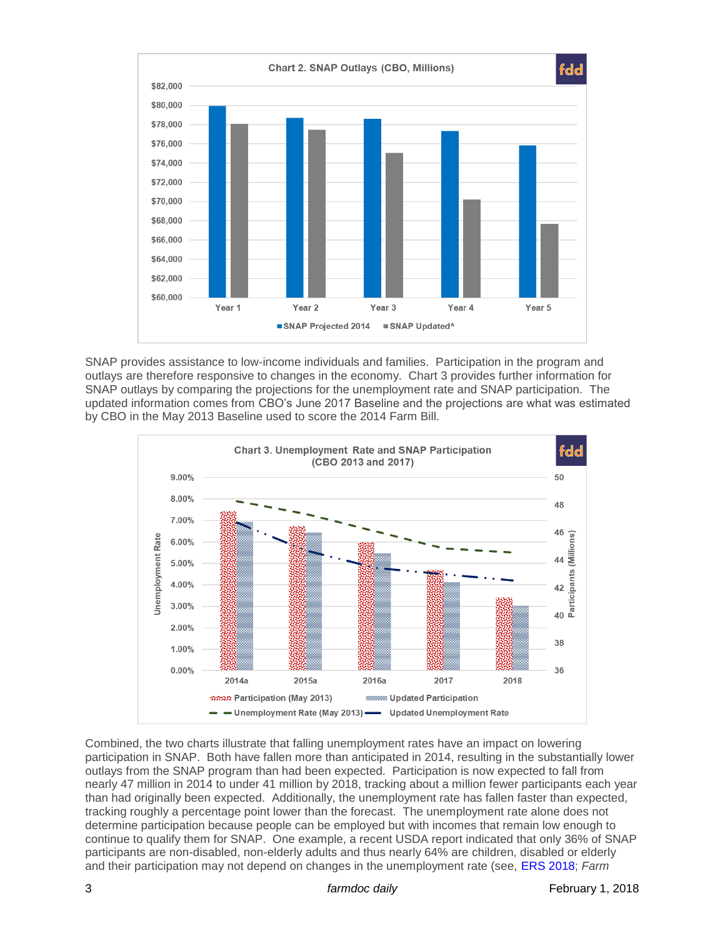

SNAP provides assistance to low-income individuals and families. Participation in the program and outlays are therefore responsive to changes in the economy. Chart 3 provides further information for SNAP outlays by comparing the projections for the unemployment rate and SNAP participation. The updated information comes from CBO's June 2017 Baseline and the projections are what was estimated by CBO in the May 2013 Baseline used to score the 2014 Farm Bill.



Combined, the two charts illustrate that falling unemployment rates have an impact on lowering participation in SNAP. Both have fallen more than anticipated in 2014, resulting in the substantially lower outlays from the SNAP program than had been expected. Participation is now expected to fall from nearly 47 million in 2014 to under 41 million by 2018, tracking about a million fewer participants each year than had originally been expected. Additionally, the unemployment rate has fallen faster than expected, tracking roughly a percentage point lower than the forecast. The unemployment rate alone does not determine participation because people can be employed but with incomes that remain low enough to continue to qualify them for SNAP. One example, a recent USDA report indicated that only 36% of SNAP participants are non-disabled, non-elderly adults and thus nearly 64% are children, disabled or elderly and their participation may not depend on changes in the unemployment rate (see, [ERS 2018;](https://www.ers.usda.gov/webdocs/publications/86924/err-243.pdf?v=43124) *Farm*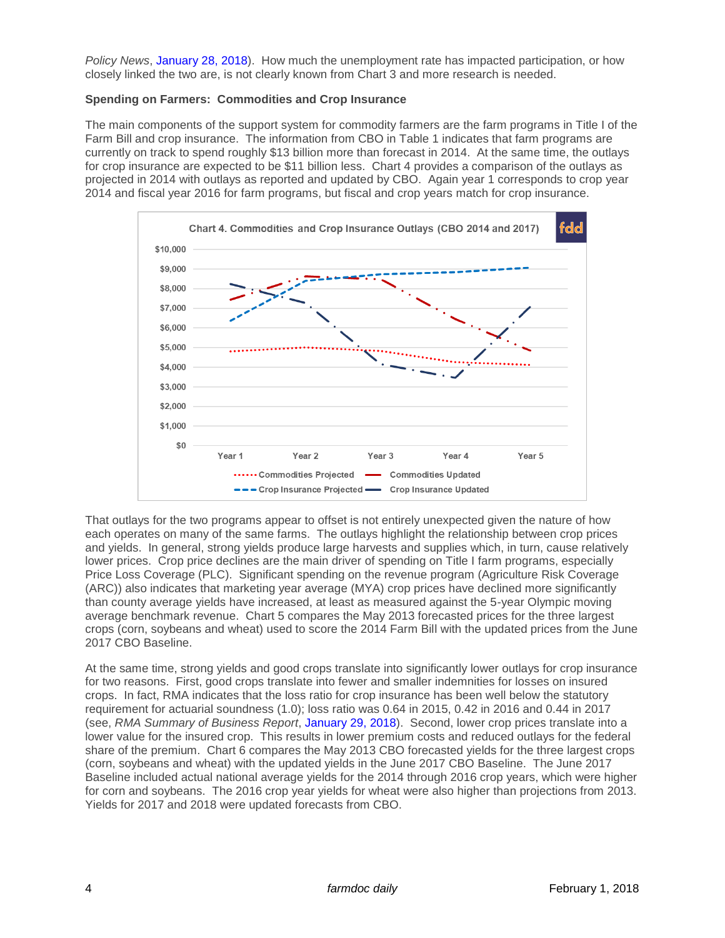*Policy News*, [January 28, 2018\)](http://farmpolicynews.illinois.edu/2018/01/focus-snap-largest-farm-bill-program/). How much the unemployment rate has impacted participation, or how closely linked the two are, is not clearly known from Chart 3 and more research is needed.

#### **Spending on Farmers: Commodities and Crop Insurance**

The main components of the support system for commodity farmers are the farm programs in Title I of the Farm Bill and crop insurance. The information from CBO in Table 1 indicates that farm programs are currently on track to spend roughly \$13 billion more than forecast in 2014. At the same time, the outlays for crop insurance are expected to be \$11 billion less. Chart 4 provides a comparison of the outlays as projected in 2014 with outlays as reported and updated by CBO. Again year 1 corresponds to crop year 2014 and fiscal year 2016 for farm programs, but fiscal and crop years match for crop insurance.



That outlays for the two programs appear to offset is not entirely unexpected given the nature of how each operates on many of the same farms. The outlays highlight the relationship between crop prices and yields. In general, strong yields produce large harvests and supplies which, in turn, cause relatively lower prices. Crop price declines are the main driver of spending on Title I farm programs, especially Price Loss Coverage (PLC). Significant spending on the revenue program (Agriculture Risk Coverage (ARC)) also indicates that marketing year average (MYA) crop prices have declined more significantly than county average yields have increased, at least as measured against the 5-year Olympic moving average benchmark revenue. Chart 5 compares the May 2013 forecasted prices for the three largest crops (corn, soybeans and wheat) used to score the 2014 Farm Bill with the updated prices from the June 2017 CBO Baseline.

At the same time, strong yields and good crops translate into significantly lower outlays for crop insurance for two reasons. First, good crops translate into fewer and smaller indemnities for losses on insured crops. In fact, RMA indicates that the loss ratio for crop insurance has been well below the statutory requirement for actuarial soundness (1.0); loss ratio was 0.64 in 2015, 0.42 in 2016 and 0.44 in 2017 (see, *RMA Summary of Business Report*, [January 29, 2018\)](https://www3.rma.usda.gov/apps/sob/current_week/sobrpt2015-2018.pdf). Second, lower crop prices translate into a lower value for the insured crop. This results in lower premium costs and reduced outlays for the federal share of the premium. Chart 6 compares the May 2013 CBO forecasted yields for the three largest crops (corn, soybeans and wheat) with the updated yields in the June 2017 CBO Baseline. The June 2017 Baseline included actual national average yields for the 2014 through 2016 crop years, which were higher for corn and soybeans. The 2016 crop year yields for wheat were also higher than projections from 2013. Yields for 2017 and 2018 were updated forecasts from CBO.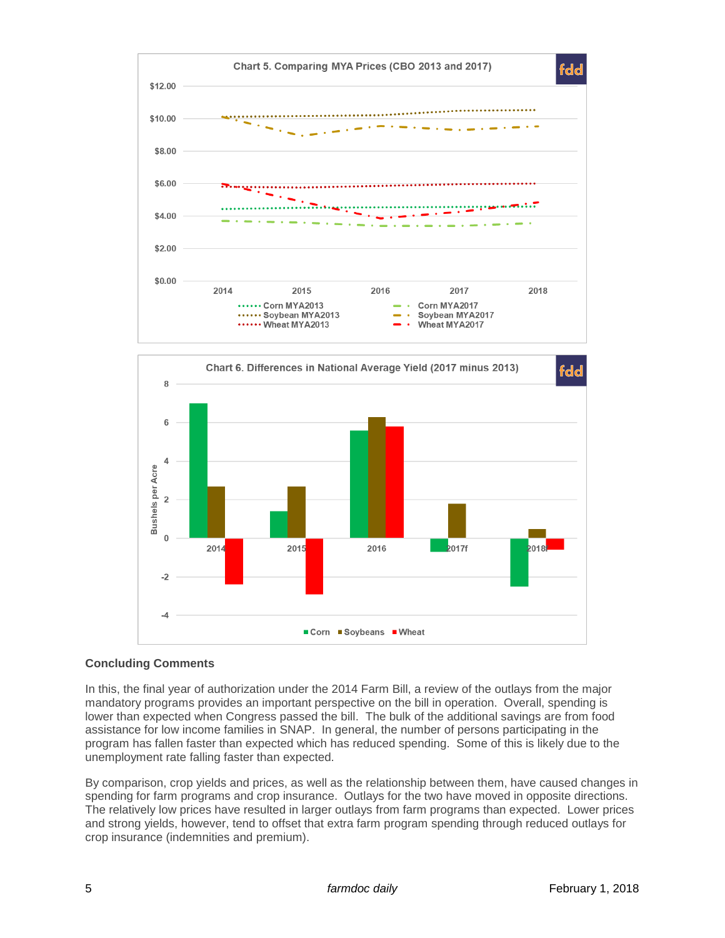



# **Concluding Comments**

In this, the final year of authorization under the 2014 Farm Bill, a review of the outlays from the major mandatory programs provides an important perspective on the bill in operation. Overall, spending is lower than expected when Congress passed the bill. The bulk of the additional savings are from food assistance for low income families in SNAP. In general, the number of persons participating in the program has fallen faster than expected which has reduced spending. Some of this is likely due to the unemployment rate falling faster than expected.

By comparison, crop yields and prices, as well as the relationship between them, have caused changes in spending for farm programs and crop insurance. Outlays for the two have moved in opposite directions. The relatively low prices have resulted in larger outlays from farm programs than expected. Lower prices and strong yields, however, tend to offset that extra farm program spending through reduced outlays for crop insurance (indemnities and premium).